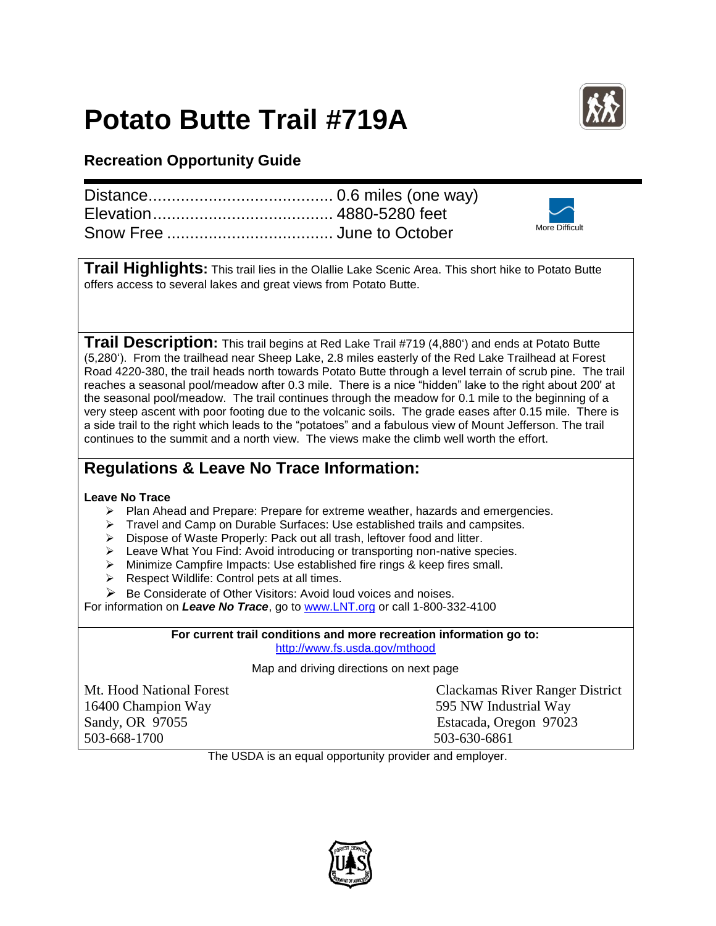## **Potato Butte Trail #719A**



## **Recreation Opportunity Guide**

|  | More Difficult |
|--|----------------|

**Trail Highlights:** This trail lies in the Olallie Lake Scenic Area. This short hike to Potato Butte offers access to several lakes and great views from Potato Butte.

**Trail Description:** This trail begins at Red Lake Trail #719 (4,880') and ends at Potato Butte (5,280'). From the trailhead near Sheep Lake, 2.8 miles easterly of the Red Lake Trailhead at Forest Road 4220-380, the trail heads north towards Potato Butte through a level terrain of scrub pine. The trail reaches a seasonal pool/meadow after 0.3 mile. There is a nice "hidden" lake to the right about 200' at the seasonal pool/meadow. The trail continues through the meadow for 0.1 mile to the beginning of a very steep ascent with poor footing due to the volcanic soils. The grade eases after 0.15 mile. There is a side trail to the right which leads to the "potatoes" and a fabulous view of Mount Jefferson. The trail continues to the summit and a north view. The views make the climb well worth the effort.

## **Regulations & Leave No Trace Information:**

## **Leave No Trace**

- $\triangleright$  Plan Ahead and Prepare: Prepare for extreme weather, hazards and emergencies.
- Travel and Camp on Durable Surfaces: Use established trails and campsites.
- Dispose of Waste Properly: Pack out all trash, leftover food and litter.
- $\triangleright$  Leave What You Find: Avoid introducing or transporting non-native species.
- Minimize Campfire Impacts: Use established fire rings & keep fires small.
- $\triangleright$  Respect Wildlife: Control pets at all times.
- $\triangleright$  Be Considerate of Other Visitors: Avoid loud voices and noises.

For information on *Leave No Trace*, go to [www.LNT.org](http://www.lnt.org/) or call 1-800-332-4100

**For current trail conditions and more recreation information go to:** <http://www.fs.usda.gov/mthood>

Map and driving directions on next page

16400 Champion Way 595 NW Industrial Way 503-668-1700 503-630-6861

Mt. Hood National Forest Clackamas River Ranger District Sandy, OR 97055 Estacada, Oregon 97023

The USDA is an equal opportunity provider and employer.